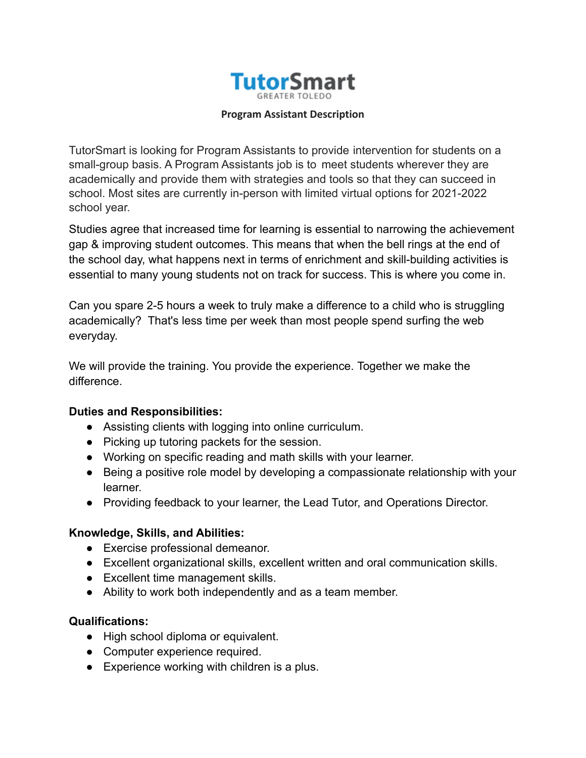

### **Program Assistant Description**

TutorSmart is looking for Program Assistants to provide intervention for students on a small-group basis. A Program Assistants job is to meet students wherever they are academically and provide them with strategies and tools so that they can succeed in school. Most sites are currently in-person with limited virtual options for 2021-2022 school year.

Studies agree that increased time for learning is essential to narrowing the achievement gap & improving student outcomes. This means that when the bell rings at the end of the school day, what happens next in terms of enrichment and skill-building activities is essential to many young students not on track for success. This is where you come in.

Can you spare 2-5 hours a week to truly make a difference to a child who is struggling academically? That's less time per week than most people spend surfing the web everyday.

We will provide the training. You provide the experience. Together we make the difference.

## **Duties and Responsibilities:**

- Assisting clients with logging into online curriculum.
- Picking up tutoring packets for the session.
- Working on specific reading and math skills with your learner.
- Being a positive role model by developing a compassionate relationship with your learner.
- Providing feedback to your learner, the Lead Tutor, and Operations Director.

## **Knowledge, Skills, and Abilities:**

- Exercise professional demeanor.
- Excellent organizational skills, excellent written and oral communication skills.
- Excellent time management skills.
- Ability to work both independently and as a team member.

## **Qualifications:**

- High school diploma or equivalent.
- Computer experience required.
- Experience working with children is a plus.